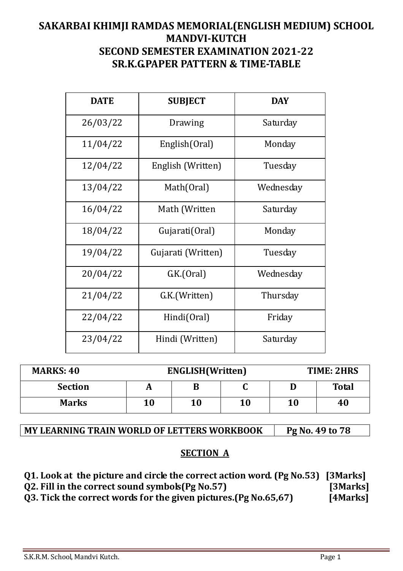## **SAKARBAI KHIMJI RAMDAS MEMORIAL(ENGLISH MEDIUM) SCHOOL MANDVI-KUTCH SECOND SEMESTER EXAMINATION 2021-22 SR.K.G.PAPER PATTERN & TIME-TABLE**

| <b>DATE</b> | <b>SUBJECT</b>     | <b>DAY</b> |
|-------------|--------------------|------------|
| 26/03/22    | Drawing            | Saturday   |
| 11/04/22    | English (Oral)     | Monday     |
| 12/04/22    | English (Written)  | Tuesday    |
| 13/04/22    | Math(Oral)         | Wednesday  |
| 16/04/22    | Math (Written      | Saturday   |
| 18/04/22    | Gujarati(Oral)     | Monday     |
| 19/04/22    | Gujarati (Written) | Tuesday    |
| 20/04/22    | GK(Oral)           | Wednesday  |
| 21/04/22    | G.K.(Written)      | Thursday   |
| 22/04/22    | Hindi(Oral)        | Friday     |
| 23/04/22    | Hindi (Written)    | Saturday   |

| <b>MARKS: 40</b> |    | <b>ENGLISH</b> (Written) |    | TIME: 2HRS |              |
|------------------|----|--------------------------|----|------------|--------------|
| <b>Section</b>   | A  | В                        | u  |            | <b>Total</b> |
| <b>Marks</b>     | 10 | 10                       | 10 | 10         | 40           |

#### MY LEARNING TRAIN WORLD OF LETTERS WORKBOOK **Pg No. 49 to 78**

#### **SECTION A**

**Q1. Look at the picture and circle the correct action word. (Pg No.53) [3Marks]** 

**Q2. Fill in the correct sound symbols(Pg No.57) [3Marks]** 

**Q3. Tick the correct words for the given pictures.(Pg No.65,67) [4Marks]**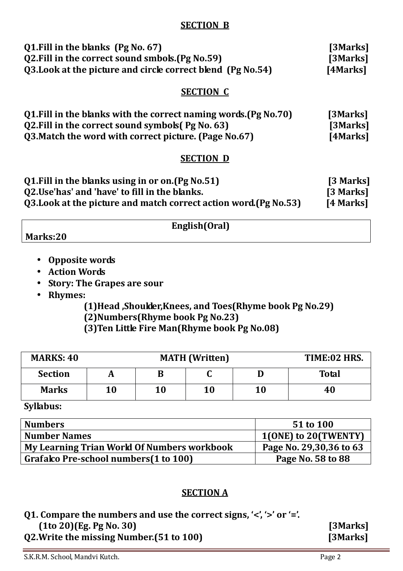#### **SECTION B**

| Q1. Fill in the blanks (Pg No. 67)                           | [3Marks] |
|--------------------------------------------------------------|----------|
| Q2. Fill in the correct sound smbols. (Pg No. 59)            | [3Marks] |
| 03. Look at the picture and circle correct blend (Pg No. 54) | [4Marks] |

#### **SECTION C**

| 01. Fill in the blanks with the correct naming words. (Pg No. 70) | [3Marks] |
|-------------------------------------------------------------------|----------|
| Q2. Fill in the correct sound symbols (Pg No. 63)                 | [3Marks] |
| Q3. Match the word with correct picture. (Page No.67)             | [4Marks] |

#### **SECTION D**

| Q1. Fill in the blanks using in or on. (Pg No. 51)                | [3 Marks] |
|-------------------------------------------------------------------|-----------|
| Q2.Use'has' and 'have' to fill in the blanks.                     | [3 Marks] |
| Q3. Look at the picture and match correct action word (Pg No. 53) | [4 Marks] |

#### **English(Oral)**

- **Marks:20** 
	- **Opposite words**
	- **Action Words**
	- **Story: The Grapes are sour**
	- **Rhymes:**

 **(1)Head ,Shoulder,Knees, and Toes(Rhyme book Pg No.29) (2)Numbers(Rhyme book Pg No.23) (3)Ten Little Fire Man(Rhyme book Pg No.08)** 

| <b>MARKS: 40</b> |    | <b>MATH</b> (Written) | TIME:02 HRS. |    |              |
|------------------|----|-----------------------|--------------|----|--------------|
| <b>Section</b>   |    |                       |              |    | <b>Total</b> |
| <b>Marks</b>     | 10 | 10                    | 10           | 10 | 40           |

**Syllabus:** 

| <b>Numbers</b>                              | 51 to 100               |
|---------------------------------------------|-------------------------|
| <b>Number Names</b>                         | 1(ONE) to 20(TWENTY)    |
| My Learning Trian World Of Numbers workbook | Page No. 29,30,36 to 63 |
| Grafalco Pre-school numbers (1 to 100)      | Page No. 58 to 88       |
|                                             |                         |

#### **SECTION A**

- Q1. Compare the numbers and use the correct signs, '<', '>' or '='.  **(1to 20)(Eg. Pg No. 30) [3Marks]**
- **Q2.Write the missing Number.(51 to 100) [3Marks]**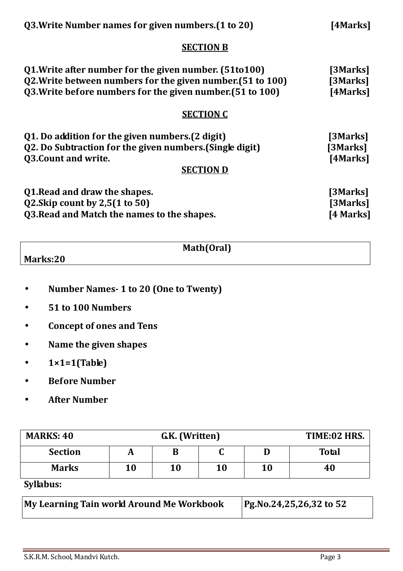| Q3. Write Number names for given numbers. (1 to 20)                                                                                                                                 | [4Marks]                          |
|-------------------------------------------------------------------------------------------------------------------------------------------------------------------------------------|-----------------------------------|
| <b>SECTION B</b>                                                                                                                                                                    |                                   |
| Q1. Write after number for the given number. (51to100)<br>Q2. Write between numbers for the given number. (51 to 100)<br>Q3. Write before numbers for the given number. (51 to 100) | [3Marks]<br>[3Marks]<br>[4Marks]  |
| <b>SECTION C</b>                                                                                                                                                                    |                                   |
| Q1. Do addition for the given numbers. (2 digit)<br>Q2. Do Subtraction for the given numbers. (Single digit)<br><b>Q3. Count and write.</b><br><b>SECTION D</b>                     | [3Marks]<br>[3Marks]<br>[4Marks]  |
| Q1. Read and draw the shapes.<br>$Q2.Skip$ count by 2,5 $(1 to 50)$<br>Q3. Read and Match the names to the shapes.                                                                  | [3Marks]<br>[3Marks]<br>[4 Marks] |

|          | Math(Oral) |  |
|----------|------------|--|
| Marks:20 |            |  |

- **Number Names- 1 to 20 (One to Twenty)**
- **51 to 100 Numbers**
- **Concept of ones and Tens**
- **Name the given shapes**
- **1×1=1(Table)**
- **Before Number**
- **After Number**

| <b>MARKS: 40</b> | G.K. (Written) |    |    | TIME:02 HRS. |              |
|------------------|----------------|----|----|--------------|--------------|
| <b>Section</b>   |                |    |    |              | <b>Total</b> |
| <b>Marks</b>     | 10             | 10 | 10 | 10           | 40           |
| $\sim$ $\cdots$  |                |    |    |              |              |

**Syllabus:** 

| My Learning Tain world Around Me Workbook | Pg.No.24,25,26,32 to 52 |
|-------------------------------------------|-------------------------|
|                                           |                         |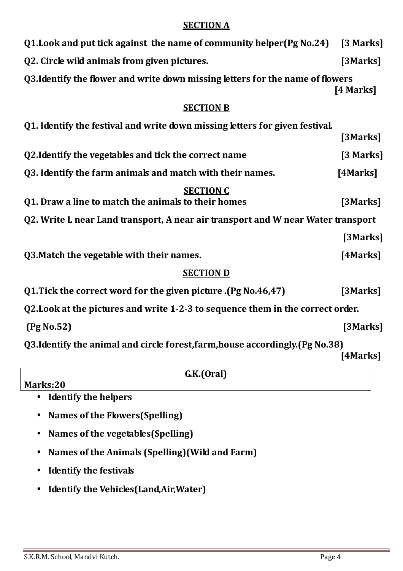#### **SECTION A**

| Q1. Look and put tick against the name of community helper (Pg No. 24)           | [3 Marks] |  |  |
|----------------------------------------------------------------------------------|-----------|--|--|
| Q2. Circle wild animals from given pictures.                                     | [3Marks]  |  |  |
| Q3.Identify the flower and write down missing letters for the name of flowers    | [4 Marks] |  |  |
| <b>SECTION B</b>                                                                 |           |  |  |
| Q1. Identify the festival and write down missing letters for given festival.     | [3Marks]  |  |  |
| Q2. Identify the vegetables and tick the correct name                            | [3 Marks] |  |  |
| Q3. Identify the farm animals and match with their names.                        | [4Marks]  |  |  |
| <b>SECTION C</b><br>Q1. Draw a line to match the animals to their homes          | [3Marks]  |  |  |
| Q2. Write L near Land transport, A near air transport and W near Water transport |           |  |  |
|                                                                                  | [3Marks]  |  |  |
| Q3. Match the vegetable with their names.                                        | [4Marks]  |  |  |
| <b>SECTION D</b>                                                                 |           |  |  |
| (Pg No.46,47). Q1. Tick the correct word for the given picture                   | [3Marks]  |  |  |
| Q2. Look at the pictures and write 1-2-3 to sequence them in the correct order.  |           |  |  |
| (Pg No.52)                                                                       | [3Marks]  |  |  |
| Q3.Identify the animal and circle forest, farm, house accordingly. (Pg No.38)    | [4Marks]  |  |  |
| G.K.(Oral)                                                                       |           |  |  |
| Marks:20                                                                         |           |  |  |
| <b>Identify the helpers</b>                                                      |           |  |  |

- **Names of the Flowers(Spelling)**
- **Names of the vegetables(Spelling)**
- **Names of the Animals (Spelling)(Wild and Farm)**
- **Identify the festivals**
- **Identify the Vehicles(Land,Air,Water)**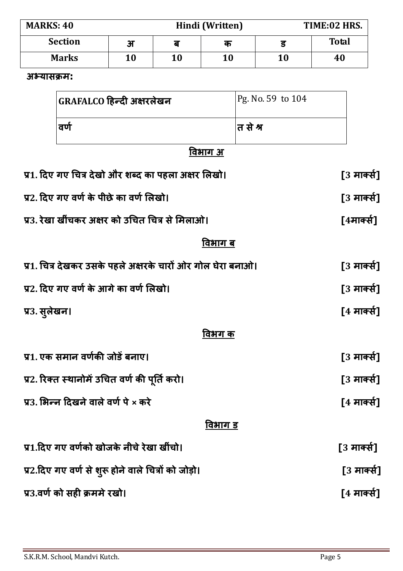| <b>MARKS: 40</b> |                         |    | Hindi (Written) | TIME:02 HRS. |              |
|------------------|-------------------------|----|-----------------|--------------|--------------|
| <b>Section</b>   | $\overline{\mathbf{H}}$ | ਰ  | क               |              | <b>Total</b> |
| <b>Marks</b>     | 10                      | 10 | 10              | 10           | 40           |

#### **अयास म:**

| GRAFALCO हिन्दी अक्षरलेखन | Pg. No. 59 to 104 |
|---------------------------|-------------------|
| वर्ण                      | त से श्र          |

## **वभाग अ**

| प्र1. दिए गए चित्र देखो और शब्द का पहला अक्षर लिखो।         | [3 मार्क्स] |
|-------------------------------------------------------------|-------------|
| प्र2. दिए गए वर्ण के पीछे का वर्ण लिखो।                     | [3 मार्क्स] |
| प्र3. रेखा खींचकर अक्षर को उचित चित्र से मिलाओ।             | [4मार्क्स]  |
| विभाग ब                                                     |             |
| प्र1. चित्र देखकर उसके पहले अक्षरके चारों ओर गोल घेरा बनाओ। | [3 मार्क्स] |
| प्र2. दिए गए वर्ण के आगे का वर्ण लिखो।                      | [3 मार्क्स] |
| प्र3. सुलेखन।                                               | [4 मार्क्स] |
| विभग क                                                      |             |
| प्र1. एक समान वर्णकी जोडें बनाए।                            | [3 मार्क्स] |
| प्र2. रिक्त स्थानोमें उचित वर्ण की पूर्ति करो।              | [3 मार्क्स] |
| प्र3. भिन्न दिखने वाले वर्ण पे × करे                        | [4 मार्क्स] |
| विभाग ड                                                     |             |
| प्र1.दिए गए वर्णको खोजके नीचे रेखा खींचो।                   | [3 मार्क्स] |
| प्र2.दिए गए वर्ण से शुरू होने वाले चित्रों को जोड़ो।        | [3 मार्क्स] |
| प्र3.वर्ण को सही क्रममे रखो।                                | [4 मार्क्स] |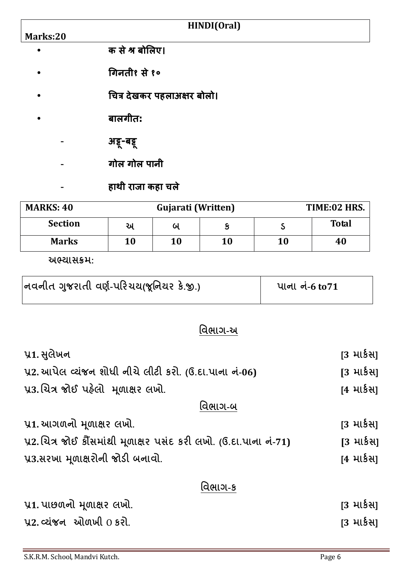|           | HINDI(Oral)                 |              |
|-----------|-----------------------------|--------------|
| Marks:20  |                             |              |
|           | क से श्र बोलिए।             |              |
| $\bullet$ | गिनती१ से १०                |              |
|           | चित्र देखकर पहलाअक्षर बोलो। |              |
|           | बालगीत:                     |              |
|           | अडू-बड्ड                    |              |
|           | गोल गोल पानी                |              |
|           | हाथी राजा कहा चले           |              |
| MADKC. AO | $C$ uioroti (Writton)       | тіме. Ло нрс |

| <b>MARKS: 40</b> | Gujarati (Written) |    |    |    | TIME:02 HRS. |  |
|------------------|--------------------|----|----|----|--------------|--|
| <b>Section</b>   | અ                  | બ  |    |    | <b>Total</b> |  |
| <b>Marks</b>     | 10                 | 10 | 10 | 10 | 40           |  |

 **:**

| નવનીત ગુજરાતી વર્ણ-પરિચય(જૂનિયર કે.જી.) | પાના નં-6 to71 |
|-----------------------------------------|----------------|
|                                         |                |

# <u>વિભાગ-અ</u>

| પ્ર1. સુલેખન                                                      | [3 માર્કસ <u>]</u> |  |
|-------------------------------------------------------------------|--------------------|--|
| પ્ર2. આપેલ વ્યંજન શોધી નીચે લીટી કરો. (ઉ.દા.પાના નં-06)           | [3 માર્કસ <u>]</u> |  |
| પ્ર3.ચિત્ર જોઈ પહેલો મૂળાક્ષર લખો.                                | [4 માર્કસ]         |  |
| વિભાગ-બ                                                           |                    |  |
| ૫1. આગળનો મૂળાક્ષર લખો.                                           | [3 માર્કસ]         |  |
| પ્ર2.ચિત્ર જોઈ કૌંસમાંથી મૂળાક્ષર પસંદ કરી લખો. (ઉ.દા.પાના નં-71) | [3 માર્કસ]         |  |
| પ્ર3.સરખા મૂળાક્ષરોની જોડી બનાવો.                                 | [4 માર્કસ]         |  |
| વિભાગ-ક                                                           |                    |  |
|                                                                   |                    |  |

| ૫1. પાછળનો મૂળાક્ષર લખો.         | [3 માર્કસ] |
|----------------------------------|------------|
| <u>પ્ર2</u> વ્યંજન ઓળખી $0$ કરી. | [3 માર્કસ] |